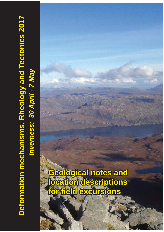# Deformation mechanisms, Rheology and Tectonics 2017  **Deformation mechanisms, Rheology and Tectonics 2017** Inverness: 30 April - 7 May *Inverness: 30 April - 7 May*

# **Geological notes and location descriptions for field excursions**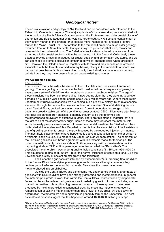## *Geological notes\**

The crustal evolution and geology of NW Scotland can be considered with reference to the Palaeozoic Caledonian orogeny. This major episode of crustal reworking was associated with the formation of a North Atlantic Craton – suturing the Proterozoic and older crustal blocks of Laurentian and Baltica (together with Avalonia, further south). NW Scotland contains part of the western margin of this orogen (or at least its more intense parts), a tectonic feature termed the Moine Thrust Belt. The foreland to the thrust belt preserves much older geology, exhumed from up to 35-40km depth, that give insight to processes that form, rework and reassemble the continental crust. The Caledonian rocks allow us to follow a transect from exhumed middle crustal sections within the orogen out into the foreland. Collectively these outcrops provide arrays of analogues for crustal geology and deformation structures, and we can use these to promote discussion of their geophysical characteristics when targeted in situ. However, the Caledonian crust, together with its foreland, has seen later deformation associated with the formation of sedimentary basins, chiefly in the immediate offshore. We can also access basin faults and examine not only their individual characteristics but also debate how they may have been influenced by pre-existing structures.

### **Pre-Caledonian geology**

### The Lewisian.

The Lewisian forms the oldest basement to the British Isles and has classic Laurentian geology. The key geological markers in the field used to build up a sequence of geological events are a suite of NW-SE-trending metabasic sheets – the Scourie dykes. The age of these intrusions has been controversial but it now seems clear that they were intruded over perhaps a 400 million year period, ending about 2000 million years ago. Where these retain undeformed intrusive relationships we are seeing into a pre-dyke history. Such relationships are found through the core of the Lewisian outcrop on mainland Scotland, defining the socalled Central Block, centred on western Assynt. Current understanding suggests this became a broadly stable part of the continental crust by about 2600 million years ago. Most of the rocks are banded grey gneisses, generally thought to be the deformed and metamorphosed equivalent of extensive plutons. There are thin strips of material that are thought to be of metasedimentary origin. Some of these may represent the material into which the early plutons were intruded. However intense deformation (the "Badcallian") has obliterated all the evidence of this. But what is clear is that the early history of the Lewisian is one of growing continental crust – the growth caused by the repeated injection of magma. The most likely place for this to have happened is above a subduction zone, either as part of a volcanic island arc (e.g. like modern-day Japan) or in an Andean setting. The chemistry of the Lewisian gneisses is in broad agreement with this tectonic model for their origin. The oldest material probably dates from about 3 billion years ago with extensive deformation happening at about 2750 million years ago (an episode called the "Badcallian"). The associated metamorphism was under granulite facies conditions (11-15 kbar, 950-1000 C). This equates to depths of 35-50 km – (over the normal thickness of continental crust). So the Lewisian tells a story of ancient crustal growth and thickening.

The Badcallian gneisses are intruded by widespread NW-SE trending Scourie dykes. In the Central Block these dykes preserve igneous textures – although commonly they contain granulite-facies metamorphic minerals. Elsewhere the dykes have been metamorphosed into amphibolites.

Outside the Central Block, and along some key shear zones within it, large tracts of gneisses with Scourie dykes have been strongly deformed and metamorphosed. In general the metamorphic grade is lower than within the Central Block, characterised by amphibolite facies. In places the redeformed gneisses are invaded by granitic intrusions including coarsegrained pegmatites. It is worth noting however that most of these appear to have been produced by melting pre-existing continental crust. So these late intrusions represent a remobilisation of existing material rather than true growth of new crust. All this activity of deformation, metamorphism and magmatism is generally termed the Laxfordian. The best estimates at present suggest that this happened around 1800-1600 million years ago.

*\*These notes are modified from the guidebook to the post-conference field excursion for Seismix 2016 – in turn based on material put together for other field excursions including for the 2007 Continental Tectonics (Peach & Horne) meeting. They should be read in conjunction with the main DRT2017 field guides (for illustrations).*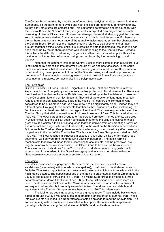The Central Block, marked by broadly undeformed Scourie dykes, ends at Laxford Bridge in Sutherland. To the north of here dykes and host gneisses are deformed, generally strongly, so that early structures are smeared out. This Laxfordian deformation and its boundary with the Central Block (the "Laxford Front") are generally interpreted as a major zone of crustal reworking of Central Block rocks. However, modern geochemical studies suggest that the two sets of gneisses were derived from continental crust of distinctly different age. Furthermore the northern units contain not a trace of the granulite facies metamorphism that characterises the Central Block. So perhaps the intense shearing relates to displacements that have brought together distinct crustal units. It is interesting to note that almost all the shearing has been taken up by the northern gneisses with little happening to the Central Block. Perhaps this reflects the difficulty of deforming dry granulite rather than hydrated amphibolites – the distribution of Laxfordian deformation being preconditioned by the pre-existing crustal geology.

Note that the southern limit of the Central Block is more complex than at Laxford, but is still marked by a transition into deformed Scourie dykes and host gneisses. In the south there are indications that at least some of the reworking of presumed Central Block material occurred during the emplacement of part of the Scourie dykes, a deformation phase termed the "Inverian". Recent studies have suggested that the Laxford Shear Zone also contains relict Inverian structures, perhaps indicating a polyphase history.

### The Torridonian

Suilven, Cul Mor, Cul Beag, Canisp, Coigach and Quinag – all these "mini-mountains" of Assynt are formed from pebbly sandstones - the Neoproterozoic Torridonian rocks. These are the oldest sedimentary rocks in the British Isles, deposited upon the Lewisian and preserved in the Caledonian foreland of NW Scotland. They tell of the erosion of long-gone mountain ranges and of ancient landscapes. Back in the middle  $19<sup>th</sup>$  century the Torridonian was considered to be of Cambrian age. We now know it to be significantly older – indeed they are different ages. Grouping these sediments together as the Torridonian is itself misleading. In fact there are of at least two distinct packages of sediment. The main sequence is called the Torridon Group that attains an estimated thickness in excess of 6 km. This is dated at around 1000 Ma. The lower part of this Group (the Applecross Formation, named after its type area in Wester Ross) is the classical pebbly sandstone that forms the cliffs and scarps of those great hills. It is chiefly a thick fluvial sequence that was derived from an unroofing Grenvillian and other uplifted orogenic terranes that once lay to the west on the Rodinian supercontinent. But beneath the Torridon Group there are older sedimentary rocks, classically (if erroneously) lumped in with the rest of the Torridonian. This is called the Stoer Group, now dated as 1200- 1100 Ma. The Stoer reaches thicknesses in excess of 3 km and, unlike the Torridon Group sediments, was derived from the underlying Lewisian basement. The basin-forming mechanisms that allowed these thick successions to accumulate, and be preserved, are largely unknown. Most workers consider the Stoer Group to be a syn-rift basin sequence. There are no such indications for the Torridon Group. Modern research suggests that it accumulated in a foredeep to the Grenville orogeny and as such it correlates with other Neoproterozoic succesions in the modern North Atlantic region.

### The Moine

The Moine comprises a supergroup of Neoroterozoic metasediments, chiefly metasandstones (psammites) with sporadic shales (pelites), considered to be shallow-marine or fluviatile. They were deposited across Lewisianoid basement which now form inliers within the main Moine outcrop. The depositional age of the Moine is bracketed by detrital zircon ages (c 950 Ma) and a suite of intrusions (c 870 Ma). The Moine Supergroup is divided into three separate groups (Morar, Glenfinnan, Loch Eil) but these distinctions need not concern us here. The depositional thickness of the Moine is very uncertain because of the intensity of subsequent deformation but probably exceeded 4-5km. The Morar is a candidate lateral equivalent to the Torridon Group (see Krabbendam et al. 2017 for references).

The Moine has been intruded by various igneous rocks. These include basic sheets, dated at around 800-875 Ma, and suites of pegmatitic granites dated at 820-780 Ma). These intrusion events are linked to a Neoproterozoic tectonic episode termed the Knoydartian. This somewhat enigmatic event is also associated with amphibolite-facies metamorphism at garnet growth (dated using Sm-Nd at around 830Ma) and ductile deformation.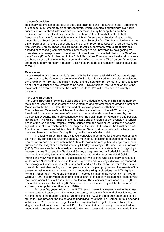### Cambro-Ordovician

Regionally the Precambrian rocks of the Caledonian foreland (i.e. Lewisian and Torridonian) are capped by a remarkably planar unconformity which underlies a surprisingly layer-cake succession of Cambro-Ordovician sedimentary rocks. It may be simplified into three distinctive units. The oldest is represented by about 150 m of quartzites (the Eriboll Sandstone Formation), the middle one is a highly differentiated collection of sands, silts, muds (Fucoid Beds Member) and clean quartzites (Saltarella Grit Member: collectively the An t-Sron Formation), and the upper one is a thick (over 1500 m) succession of carbonate rocks (the Durness Group). These units are readily identified, commonly from a great distance, allowing exceptionally complex tectonic interleavings to be unravelled by field geologists. They also provide exposures of thrust and fold structures of unrivalled clarity. The *Skolithos* trace fossils (Pipe Rock Member) in the Eriboll Sandstone Formation are ideal strain markers and have played a key role in the understanding of strain patterns. The Cambro-Ordovician strata presumably represent a regional post-rift steers-head to extensional basins developed to the SE.

### **Caledonian**

Once viewed as a single orogenic "event", with the increased availability of radiometric age determinations, the Caledonian orogeny in NW Scotland is divided into two distinct episodes: the Grampian (c. 460 Ma, Ordovician in age) and the Scandian (c 430 Ma, Silurian). Just how helpful such distinctions are remains to be seen…. Nevertheless, the Caledonian (*sl*) is the major tectonic event the effected the crust of Scotland. We will consider it in a variety of locations.

### The Moine Thrust Belt

The Moine Thrust Belt forms the outer edge of the Caledonian Orogenic Belt in the northern mainland of Scotland. It separates the polydeformed and metamorphosed orogenic interior of Moine rocks, to the ESE, from the foreland of Lewisian gneisses with their cover of Torridonian and Cambro-Ordovician sedimentary successions, to the WNW. As such, the thrust belt forms a small segment of the edge of penetrative deformation caused by the Caledonian Orogeny. There are continuations of the belt in northern Greenland and possibly NW Ireland. The Moine Thrust Belt and its extensions are related to the Scandian (Silurian) phase of the Caledonian Orogeny, which resulted from the collision of Baltica and Avalonia against Laurentia, to which Scotland belonged at the time. In Scotland, the thrust belt runs from the north coast near Whiten Head to Sleat on Skye. Northern continuations have been proposed beneath the West Orkney Basin, on the basis of seismic data.

The Moine Thrust Belt has achieved worldwide importance for the development and testing of key concepts in structural geology. Much of our basic understanding of the Moine Thrust Belt comes from research in the 1880s, following the recognition of large-scale thrust surfaces in the Assynt and Eriboll districts by Charley Callaway (1883) and Charles Lapworth (1883). This work settled a famously acrimonious debate in mid-nineteenth century geology between James Nicol and the Geological Survey as represented by Roderick Murchison (both of whom had died by the time the debate was resolved) and later by Archibald Geikie. Murchison's view was that the rock succession in NW Scotland was essentially continuous, while James Nicol contended it was faulted. Lapworth and Callaway's discoveries rendered the Geological Survey's interpretation untenable and led Geikie, then Director of the Survey, to send his most able geologists to complete a major mapping programme. The results of this awesome task eventually appeared in two ground-breaking publications, the NW Highlands Memoir (Peach *et al.*, 1907) and the special 1" geological map of the Assynt district (1923). Oldroyd (1990) has provided an entertaining account of these early researches, together with their socio-scientific fallout and subsequent legacy. The significance of Peach et al.'s (1907) research is discussed by Butler (2007) and underpinned a centenary celebration conference and associated publication (Law et al. 2010).

For over fifty years following the 1907 Memoir, geological research within the thrust belt concentrated upon correlating minor structures, particularly folds and planar fabrics, and relating them to the regional geology. Up until the mid 1970s this research attempted to find structural links between the Moine and its underlying thrust belt (e.g. Barber, 1965; Soper and Wilkinson, 1975). For example, gently inclined and isoclinal to tight folds were linked to a single mylonite-forming event (termed 'D1'). This type of structural analysis received added impetus with the application of radiometric dating techniques to igneous intrusions within the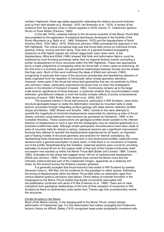northern Highlands; these age-dates apparently calibrating the relative structural histories built up from field studies (e.g. Woolley, 1970; van Breemen *et al.*, 1979). A review of the evidence from the igneous rocks in Assynt appears in GCR volume 17, *Caledonian Igneous Rocks of Great Britain* (Parsons, 1999).

In the late 1970s, renewed interest in the structural evolution of the Moine Thrust Belt was propelled by the application of analytical techniques developed in the foothills of the Rocky Mountains (e.g. Bally *et al.,* 1966; Dahlstrom, 1970) and the Appalachians of North America (Rich, 1934; Milici, 1975). Elliott and Johnson (1980) pioneered this approach in the NW Highlands. The critical conceptual leap was that thrust belts evolve by individual thrusts growing, linking, moving and then dying. They form in a general foreland-propagating sequence so that higher nappes are carried 'piggy-back' upon lower ones. In the Appalachians, Mitra and Elliott (1980) showed that folds and deformation fabrics could be explained by local thrusting processes rather than by regional tectonic events, prompting a similar re-assessment of minor structures within the NW Highlands. These new approaches led to a major programme of remapping within the thrust belt, in many cases re-examining, for the first time in a hundred years, the geometrical relationships between thrusts and the sheets that they carry. Much of this work confirmed the ideas of Elliott and Johnson (1980), recognizing in particular that many of the structural complexities and bewildering networks of faults originated from the repetition of individually rather simple geometric elements. However, some parts of the thrust belt show fault geometries that are not predicted by Elliott and Johnson's ideas, particularly extensional structures that cut down the stratigraphic section in the direction of transport (Coward, 1982). Controversy remains as to the larger scale tectonic significance of these features, in particular whether they accommodated crustal extension, gravitational collapse or even the locally complex effects of purely compressional tectonics (Coward, 1983; Butler, 2004; Butler *et al.,* 2006, 2007).

The renewed interest in thrust belt structure, particularly in NW Scotland, came when structural geologists began to relate the deformation recorded by mountain belts to plate tectonic processes through integrating surface geology with deep seismic reflection profiles (Soper and Barber, 1982; Brewer and Smythe, 1984). Central to this were attempts to quantify the magnitude of horizontal displacements responsible for stacking up piles of thrust sheets, primarily using balanced cross-sections (as pioneered by Dahlstrom, 1969, in the Canadian Rockies). These constructions are geological profiles drawn parallel to the inferred direction of displacement in such a way that the stratigraphy may be restored graphically to a predicted undeformed state. Although simple palinspastic reconstructions have been made of parts of mountain belts for almost a century, balanced sections are a significant improvement because they attempt to quantify the displacements experienced by all layers, an important part of testing models of structural geometry and evolution for internal consistency. By representing three-dimensional tectonic structure in two-dimensional profiles, balanced crosssections have a general assumption of plane strain, in that there is no movement of material out of the profile. Notwithstanding this limitation, balanced sections were crucial for providing estimates of almost 60 km for the original width of that part of the Cambro-Ordovician shelf succession now stacked up within the Moine Thrust Belt (Butler and Coward, 1984; Coward, 1985). Estimates for the whole belt suggest some 100 km of subhorizontal displacement (Elliott and Johnson, 1980). These movements have carried the Moine rocks and the intensely metamorphosed part of the Caledonide Orogen, apparently as a relatively thin sheet, by this amount across the foreland Lewisian gneisses.

It is generally accepted that thrust tectonics had ended in NW Scotland by earliest Devonian times (c. 400 Ma), but the evidence for this paradigm is rather sparse. Estimating the timing of displacements within the Moine Thrust Belt relies on radiometric ages from various alkaline igneous intrusions (see below). Direct dating of mylonite formation in the hangingwall to the Moine Thrust implies that ductile movements associated with recrystallization continued until about 410 Ma (Freeman *et al*., 1999). There are no clear indications from geological relationships of the time of final cessation of movement in NW Scotland as there no sedimentary rocks earlier than Triassic age that unconformably overlie the structures.

### Ductile thrusting in the Moine

Much of the Moine outcrop, in the hanging-wall to the Moine Thrust, shows intense deformation of Caledonian age. It is this deformation that makes untangling the Proterozoic tectonic history so difficult. Bailey (1910) recognised large-scale stratigraphic inversions with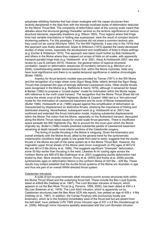polyphase refolding histories that had closer analogies with the nappe structures then recently deciphered in the Alps than with the strongly localized styles of deformation deduced for the Moine Thrust Belt. The complexity of deformation seen at the outcrop scale meant that debates about the structural geology thereafter centred on the tectonic significance of various structural elements, especially lineations (e.g. Wilson 1953). Thus regions where fold hinge lines had variable orientations or folding was superposed, were the result of complex tectonic shortening patterns. For this paradigm, if structures did not share a common tectonic axis they could not be coeval (McIntyre 1954). For the NW Highlands, it was only in the 1970s that this approach was finally abandoned. Soper & Wilkinson (1975) applied the newly-developed studies of shear zones, especially the development and modification of folds in these settings (e.g. Escher & Watterson 1974). The approach was taken much further by Bob Holdsworth and others in the Moine where they mapped out arrays of folds on all scales, with apparently transport-parallel hinge lines (e.g. Holdsworth *et al.* 2001, Alsop & Holdsworth 2007; see also review by Law & Johnson 2010). However, the general notion of regional structural correlation, based on deformation sequences (D-numbers) remains (e.g. Mendum *et al*. 2009), notwithstanding earlier demonstrations that, within the Moine mylonites, folds only have local significance and there is no spatial-temporal significance in relative chronologies (Butler 1982b).

Impetus for thrust tectonic models was provided by Tanner (1971) in the SW Moine and the recognition of a major shear zone (Sgurr Beag Slide, latterly termed the Sgurr Beag Thrust) that contained thin pips of strongly deformed Lewisianoid rocks. Other ductile thrusts were recognised in the Moine (e.g. Rathbone & Harris 1979), although it remained for Soper & Barber (1982) to propose a "crustal duplex" model for imbrication within the Moine nappe, with reference to the north coast transect. The recognition that the Moine Thrust Sheet did not involve the whole crust of the NW Highlands (Butler & Coward 1984) led to a "thin-skinnned" model for the imbrication of Lewisianoid basement and its cover of Moine metasediments (Butler 1986). Holdsworth *et al.* (1986) argued against this simplification of deformation as characterised by displacement on distinctive thrusts, stressing the importance of folding and distributed shearing. Nevertheless, subsequent work (e.g. Holdsworth et al. 2001) has confirmed and extended the thrust imbrication model, implying substantial displacements within the Moine The notion that the Moine, especially on the Sutherland transect, decoupled along the Moine Thrust raises issues for crustal scale thrust geometry. There is insufficient space beneath the NW Highlands (Fig. 9b) to account for the crust upon which the Moine originally lay. Butler's (1986) models predicted substantial panels of Lewisianoid basement remaining at depth beneath more interior portions of the Caledonide orogeny.

The timing of ductile thrusting in the Moine is intriguing. Given the kinematics and overall similarity with the Moine thrust, allied to the general trend for the synkinematic metamorphic conditions (high grade to low grade from east to west), suggests that the ductile thrusts in the Moine are part of the same system as in the Moine Thrust Belt. However, the migmatitic upper thrust sheets of the Moine yield zircon overgrowth (U-Pb) ages of 467±10 Ma and 461±13 Ma (Kinny et al. 1999). This suggests significant "Grampian" deformation, some 30 Myr earlier than thrusting in the west. Likewise Ar-Ar cooling ages across the northern Moine are 460-470 Ma (Dallmeyer et al. 2001) suggesting ductile deformation had ended by then. More recently however, Kinny et al. (2003) and Kocks et al. 2006) provide synkinematic ages on deformation fabrics in the northern Moine of 420 Ma – 429 Ma, These results may indeed establish that the ductile thrust systems of the Moine are Scandian in age and thus are part of an overall WNW-directed thrust system.

### Caledonian intrusions

A suite of syn-to-post kinematic alkali intrusions punch across structures both within the Moine Thrust Sheet and the underlying thrust belt. These include the Ben Loyal Syenite, dated at 426±9 Ma (Halliday et al. 1987). The Loch Borralan intrusion of Assynt, which appears to cut the Ben More Thrust (e.g. Parsons, 1999, 2000), has been dated at 430  $\pm$  4 Ma (van Breemen *et al.,* 1979). The Loch Ailsh intrusion, which is apparently cut by Caledonian structures (see the Ben More GCR site report), has yielded an age of  $439 \pm 4$  Ma (Halliday *et al.*, 1987). In addition, the Canisp Porphyry sills (exclusively locally prekinematic), which lie in the foreland immediately west of the thrust belt but are absent from the belt itself, have yieldeda U-Pb TIMS zircon intrusion age of 437 ± 4.8 Ma (Goodenough et al., 2006). Although minor intrusions spatially associated with the Loch Borralan intrusion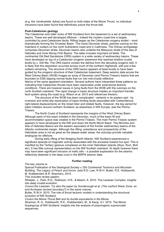(e.g. the 'nordmarkite' dykes) are found on both sides of the Moine Thrust, no individual intrusions have been found that definitively suture the thrust belt.

### **Post-Caledonian geology**

The Caledonian and older rocks of NW Scotland form the basement to a set of sedimentary basins. These are well-developed offshore – indeed the modern coast-line is largely controlled by post-Caledonian faults. Rifting began as the Caledonian orogeny ended – most dramatically forming the Orcadian Basin. This hosts Devonian strata, patches outcrop on the mainland in outliers on the north Sutherland coast and in Caithness. The Orkney archipelago comprises Devonian strata. Devonian basins also underlie the Mesozoic strata of the Sea of Hebrides and Inner Moray Firth Basins. The latter includes important oil fields. The continental Old Red Sandstone (ORS) system in a wide variety of sedimentary basins. These have developed on top of a Caledonian orogenic basement that reached shallow crustal levels by c. 430 Ma. The ORS basins contain the detritus from the denuding orogenic belt. It is likely that this deposition occurred across much of the northern Highlands, with just a few outliers remaining. The structure of the ORS basins appears at least locally to have been guided by the orogenic structure of their Caledonian basement. Deep seismic data across the West Orkney Basin (WOB) images an array of Devonian (and Permo-Triassic) basins that are bounded on ESE-dipping normal faults that run into mid-crustal reflective fabrics of the same apparent orientation. Several authors have interpreted these patterns as indicating that Caledonian thrusts have been reactivated under extensional tectonic conditions. There are however issues in tying faults from the WOB with the outcrops on the north Scottish mainland. The rapid change in basin structure implies an important transfer fault system along the coast (e.g. Wilson et al. 2010 and references therein).

The structure of the WOB has been complicated - certainly in its eastern part - by inversion and strike-slip reactivation of basin-limiting faults associated with Carboniferous right-lateral displacements on the Great Glen and related faults. However, the key period for basin initiation around northern Scotland, as elsewhere in NW Europe, was the Permo-Triassic.

The North Coast of Scotland represents the margins of the West Orkney Basin. Although parts of this basin initiated in the Devonian, much of the basin fill and accommodation space was created in the Permo-Triassic. The main Permo-Triassic system appears to have developed to the NW and down the North Minch Basin. The Minches and Sea of Hebrides Basins are the eastern equivalent of the frontier sedimentary basins of the Atlantic continental margin. Although the rifting, subsidence and prospectivity of the Hebridean area is not as great as the deeper-water areas, the outcrops provide valuable analogues for offshore.

During early rifting of the fledgling North Atlantic, NW Scotland experienced a significant episode of magmatic activity associated with the ancestral Iceland hot spot. This is manifest by the Tertiary igneous complexes on the inner Hebridean islands (Skye, Rum, Mull etc). It has little outcrop representation on the NW Scottish mainland. At depth however there may have been significant intrusion of mafic sills – a possible explanation for the seismic reflectivity detected in the deep crust in the BIRPS seismic data.

### *Further reading*

The key volume is:

Special Publication of the Geological Society v 335 *Continental Tectonics and Mountain Building: The Legacy of Peach and Horne*. (eds R.D. Law, R.W.H. Butler, R.E. Holdsworth, M. Krabbendam & R. Strachan), 2010.

This includes review papers:

Wheeler, J., Park, R.G., Rollinson, H.R., & Beach, A. 2010. The Lewisian Complex: insights into deep crustal evolution.

*Covers the Lewisian. Try also the paper by Goodenough et al. (The Laxford Shear Zone: an end-Archaean terrane boundary?) in the same volume.*

Butler, R.W.H. 2010. The role of thrust tectonic models in understanding the structural evolution of NW Scotland.

*Covers the Moine Thrust Belt and its ductile equivalents in the Moine.*

Strachan, R. A., Holdsworth, R.E., Krabbendam, M., & Alsop, G.I. 2010. The Moine Supergroup of NW Scotland: insights into the analysis of polyorogenic supracrustal sequences.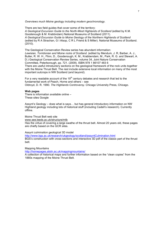*Overviews much Moine geology including modern geochronology.*

There are two field guides that cover some of the territory: A Geological Excursion Guide to the North-West Highlands of Scotland (edited by K.M. Goodenough & M. Krabbndam) National Museums of Scotland (2011). *A Geological Excursion Guide to Moine Geology of the Northern Highlands of Scotland*  (edited by R A Strachan, G I Alsop, C R L Friend & S Miller). National Museums of Scotland. (2010).

The Geological Conservation Review series has abundant information: *Lewisian, Torridonian and Moine rocks of Scotland.* (edited by Mendum, J. R, Barber, A. J., Butler, R. W. H., Flinn, D., Goodenough, K. M., Krabbendam, M., Park, R. G. and Stewart, A. D.) Geological Conservation Review Series, volume 34, Joint Nature Conservation Committee, Peterborough, pp. 721. (2009). ISBN 978 1 86107 483 6 There are useful introductory sections on the geological framework of the rock units together with the Moine Thrust Belt. The rest include extensive local information on many of the most important outcrops in NW Scotland (and beyond).

For a very readable account of the  $19<sup>th</sup>$  century debates and research that led to the fundamental work of Peach, Horne and others – see Oldroyd, D. R. 1990. *The Highlands Controversy*. Chicago University Press, Chicago.

### **Web pages**

There is information available online – These sites Google

Assynt's Geology – does what is says… but has general introductory information on NW Highland geology including lots of historical stuff (including Cadell's research). Currently offline.

### Moine Thrust Belt web site

www.see.leeds.ac.uk/structure/mtb

Has the virtue of covering a large swathe of the thrust belt. Almost 20 years old, these pages are chiefly based on the GCR sites.

Assynt culmination geological 3D model

http://www.bgs.ac.uk/research/ukgeology/scotland/assyntCulmination.html BGS's construction with cross-sections and interactive 3D pdf of the classic part of the thrust belt.

Mapping Mountains

http://homepages.abdn.ac.uk/mappingmountains/

A collection of historical maps and further information based on the "clean copies" from the 1880s mapping of the Moine Thrust Belt.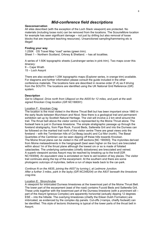# *Mid-conference field descriptions*

### **Geoconservation**

All sites described (with the exception of the Loch Stack viewpoint) are protected. No materials (including loose rock) can be removed from the locations. The ScourieMore location for example has seen significant damage – not just by drilling but also removal of loose blocks that are important teaching resources). Unsanctioned sampling/hammering etc is illegal!

### **Finding your way**

1:250K OS Travel Map "road" series (green trim). Sheet 1 – Northern Scotland, Orkney & Shetland. – has all localities.

A series of 1:50K topographic sheets (Landranger series in pink trim). Two maps cover this itinerary: 9 – Cape Wrath

15 – Loch Assynt

There are also excellent 1:25K topographic maps (Explorer series, in orange trim) available. For diagrams and further information please consult the guide included in the other conference materials. The locations here are described in reverse order (F-A) as if driving from the SOUTH. The locations are identified using the UK National Grid Reference (GR) system.

### **Description**

*Get to Ullapool. Drive north from Ullapool on the A835 for 12 miles, and park at the wellsigned Knockan Crag location (GR NC188091).* 

### Location F: Knockan Crag

The location is the most visited in the Moine Thrust Belt but has been important since 1860 in the early feuds between Murchison and Nicol. Now there is a geological trail and permanent exhibition set up by Scottish Natural Heritage. The visit will involve a 2 km stroll around the trail. The thrust belt above the visitor centre is represented by the Moine Thrust alone. The footwall here is just in Durness limestone. The simple stratigraphic passage up through the foreland stratigraphy, from Pipe Rock, Fucoid Beds, Salterella Grit and into the Durness can be followed on the marked trail north of the visitor centre There are great views onto the foreland – with the Torridonian hills of Cul Beag (south) and Cul Mor (north). The Basal Quartzites of the Cambrian can be seen dipping off these hills towards Knockan. The Moine thrust plane can be visited in the cliff sections [NC 190093]. The mylonites derived from Moine metasediments in the hangingwall (best seen higher on the tour) are brecciated within about 1m of the thrust plane although the lowest cm or so is made of foliated cataclasites. The underlying carbonates (chiefly dolostones) are brecciated and veined. A superb viewpoint across Assynt may be reached by breaking up to the knoll [GR NC193094]. An equivalent view is annotated on here to aid location of key places. The visitor trail continues along the top of the escarpment. At the southern end there are some photogenic outcrops of mylonites, before a run of steps leads back to the car-park.

*Continue N on the A835, joining the A837 by turning L at Ledmore Junction. After a further 3 miles, park in the layby (GR NC248204) on the A837 beneath the limestone crag-line.*

### Location E: Stronchrubie

A viewpoint for imbricated Durness limestones at the lowermost part of the Moine Thrust Belt. The lower part of the escarpment (east of the road) contains Fucoid Beds and Salterella Grit. These units together with the lowermost part of the Durness limestone (with a prominent sill – part of the Assynt Igneous Complex) are apparently horizontal (actually dipping 12 degrees ESE – into the hillside. The overlying limestones (chiefly the Eilean Dubh Formation) are imbricated, as evidenced by the complex dip panels. Cut-offs (=ramps, chiefly footwall) can be identified. This style of tectonic thickening is typical of the lower parts of the thrust belt in Assynt.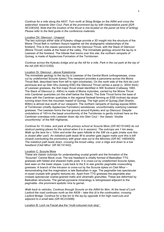*Continue for a mile along the A837. Turn north at Skiag Bridge on the A894 and cross the watershed towards Glen Coul. Park at the prominent lay-by with interpretative panel ([GR NC236320]. Note that the location of the thrust is mis-located on the panel (at time of writing). Please refer to the field guide in the conference materials.* 

### Location Dii: Glencoul - Unapool

The two outcrops either side of Kylesku village provide a 3D insight into the structure of the Moine Thrust Belt in northern Assynt together wit the stratigraphic relationships of the foreland. This is the classic panorama into the Glencoul Thrust, with the Stack of Glencoul (Moine Thrust) visible at the head of the valley. The immediate geology around the lay-by is Lewisian of the foreland. The hillside that looms over this site, the northern ramparts of Quinag, is made of Applecross Formation of the Torridonian.

*Continue across the Kylesku bridge and up the hill for a mile. Park in the car-park at the top of the hill (GR NC212350).*

### Location Di: Glencoul - above Kylestrome

The immediate geology to the lay-by is Lewisian of the Central Block (orthogneisses, crosscut by undeformed Scourie dykes).This viewpoint provides a panorama across the Moine Thrust Belt, described here from left to right (clockwise). On the north side of the Aird da Loch peninsula and up Glen Dhu (looking ESE) the Glencoul Thrust carries a panel (c. 300m thick) of Lewisian gneisses, the first major thrust sheet identified in NW Scotland (Callaway 1883. The Stack of Glencoul (c. 490m) is made of Moine mylonites, carried by the Moine Thrust onto Cambrian quartzites (on the shelf below the Stack). The Sole Thrust forms the base of these with the Cambrian quartzites in the regional footwall forming an ESE-inclined dip-slope running down from the mountain massif of Quinag. The high point of Quinag (Sail Gharbh, 808m) is almost due south of our viewpoint. The northern ramparts of Quinag expose 600m of Torridonian (chiefly Applecross Formation) sandstones, unconformably overlying Lewisian gneisses. The Lewisian forms the low ground around Kylesku and up Glencoul. Despite undulations of 100+m the basal unconformity of the Torridonian is gently inclined here so the Cambrian oversteps onto Lewisian down dip into Glen Coul – the classic "double unconformity" of the NW Highlands.

*Continue for 10 miles, and park at the primary school at Scourie More (GR NC151440) do not obstruct parking places for the school when it is in session). The outcrops are 1 km away. Walk up the lane for c 100m and enter the open hillside to the SW via a gate (make sure this*  is closed after use!). An indistinct path leads W to another gate (again make sure this is left *closed) overlooking the promontory with great view out to the Minches (GR NC 14854405). The indistinct path leads down, crossing the broad valley, over a ridge and down to a low headland (Cleit Mhor: GR NC141442).* 

### Location C: Scourie More

These are classic outcrops for understanding crustal growth and the formation of the "Scourian" Central Block crust. The low headland is chiefly formed of Badcallian TTG gneisses with folded and sheared mafic pods. It is cross-cut by undeformed Scourie dykes, best seen on the lower slopes. Look back to the E to see granitic pegmatite crosscutting gneisses. A branch of the intrusion is cross-cut by the Scourie dykes on Cleit Mhor – demonstrating that the magmatism is late Badcallian in age. The pegmatite has spectacular m-sized crystals with graphic textures etc. Apart from TTG gneisses the pegmatite also crosses spectacular coarse-grained mafic and ultramafic granulites. These are deformed by Badcallian structures. The garnet-pyroxene mineralogy is retrogressed adjacent to the pegmatite –the prominent epidotic rims to garnet.

*Walk back to vehicles. Continue through Scourie on the A894 for 9km. At the head of Loch Laxford the road continues north as the A838 – take this (it is the continuation, crossing Laxford Bridge. Continue for a few km to the lay-by opposite 4-5m high road-cuts and adjacent to a small lake (GR NC233486).*

Location B: Loch na Fiacail aka the "multi-coloured rock stop".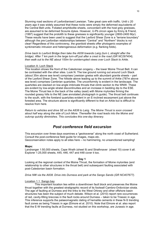Stunning road sections of Laxfordianised Lewisian. Take great care with traffic. Until c 20 years ago it was widely assumed that these rocks were simply the deformed equivalents of the Central Belt units. Foliated amphibolite sheets, concordant with the host grey gneisses, are assumed to be deformed Scourie dykes. However, U-Pb zircon ages by Kinny & Friend, (1997) suggest that the protolith to these gneisses is significantly younger (2800-2400 Myr). These results have been used to suggest that the Laxford Shear Zone is a "terrane boundary" although the pre-Laxfordian relationships between "Central" and "Northern" blocks is not clear! Regardless of this controversy, the granitoid sheets offer photogenic examples of synkinematic intrusion and heterogeneous deformation (e.g. flanking folds).

*Drive back to Laxford Bridge then take the A838 towards Lairg (turn L straight after the bridge). After 7 km park in the large turn-off just after a crest in the road (GR NC297404), then walk out to the NE about 100m for uninterrupted views over Loch Stack to Arkle.*

### Location A: Loch Stack

This location shows the front of the Caledonian orogeny – the lower Moine Thrust Belt. It can be contrasted with the other sites. Look N. The low ground running out around Loch Stack (about 35m above sea level) comprises Lewisian gneiss with abundant granite sheets – part of the Laxford Shear Zone. The hillside above leading up to the summit of Arkle (787m above sea level) comprises Cambrian quartzites. The unconformity is evident in the landscape. The quartzites are stacked on low-angle imbricate thrusts that climb section to the WNW. These are evident by low-angle stratal discontinuities and an increase in bedding dip to the ESE. The Moine Thrust lies in the back of the valley (east) with Moine mylonites firming the rounded grassy hills to the NE (see annotated photograph in guide). The thrust belt continues to the south, with the foreland quartzites evident in an E-inclined escarpment just above the forested area. The structure above is significantly different to that on Arkle but is difficult to resolve from here.

*Return to vehicles and drive SE on the A838 to Lairg. The Moine Thrust is soon crossed about half way along the side of Loch More. Thereafter the road leads into the Moine and outcrop quickly diminishes. This concludes this one-day itinerary.* 

# *Post conference field excursion*

This excursion over three days examines a "geotraverse" along the north coast of Sutherland. Consult the post-conference field guide for images, maps etc. Geoconservation notes apply to all sites here – no hammering, no unsanctioned sampling!

### **Maps:**

Landranger 1:50,000 sheets, Cape Wrath (sheet 9) and Strathnaver (sheet 10) cover it all. Explorer 1:25,000 sheets, 445, 446, 447 and 448 cover it too.

### **Day 1**

Looking at the regional context of the Moine Thrust, the formation of Moine mylonites (and relationship to other structures in the thrust belt) and subsequent faulting associated with post-Caledonian basin formation.

### *Drive NW via the A838. Drive into Durness and park at the Sango Sands (GR NC407677).*

### Location 1.1 Sango bay

This important location lies within a downthrown fault block and preserves the Moine thrust together with the greatest stratigraphic record of its footwall Cambro-Ordovician strata. The age of faulting at Durness and the links to the West Orkney and other offshore basin structures has been the subject of much debate. Wilson et al. (2010) report rare occurrences of red, cavity-filling breccias in the fault rocks around Durness – taken to be Triassic in age. This inference supports the palaeomagnetic dating of hematite cements in these N-S trending fault zones as being Triassic in age (Elmore et al. 2010). Note that Elmore et al. also report that the E-W trending faults at Durness, not studied on this workshop, are Jurassic in age.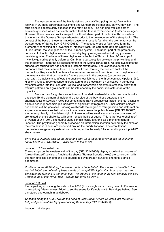The eastern margin of the bay is defined by a WNW-dipping normal fault with a footwall in Durness carbonates (Sailmohr and Sangomore Formations, early Ordovician). The fault plane is spectacularly exposed in the retaining cliff. The hanging-wall consists of Lewisian gneisses which ostensibly implies that the fault is reverse-sense (older on younger). However, these Lewisian rocks are part of a thrust sheet, part of the Moine Thrust system, that over-ran the Durness Group carbonates prior to the development of the steep faults. The contact of the base of these far-travelled basement rocks is found on the promontory on the western edge of Sango Bay (GR NC406680). The best outcrops of fault rocks form the promontory consisting of a lower tier of intensely fractured carbonate (middle Ordovician Durine Group, the youngest part of the Durness system). The upper part of the promontory consists of chloritic phylonites – most probably highly retrogressed and strongly sheared Lewisian gneiss. The base of these phylonites is the Moine Thrust. A thin (2-3m) strip of mylonitic quartzites (highly deformed Cambrian quartzites) lies between the phylonities and the carbonates – here the full representation of the Moine Thrust Belt. We can investigate the subsequent faulting that has offset this tectonic stratigraphy. The cleanest outcrops of carbonate fault rocks can be found in the small cove, forming the western flank of the promontory. Key aspects to note are the entrained veneers of brecciated quartz mylonite and the mineralisation that occludes the fracture porosity in the breccias (carbonate and quartzite). Cataclasis also affects the ductile shear fabrics of the thrust contact. Hippler (1989; Hippler & Knipe, 1990) describe microfracturing and brecciation on all scales in the quartz mylonites at the late fault contacts. Optical and transmission electron microscopy show that fracture patterns on a grain-scale can be influenced by the earlier microstructure of the mylonite.

Back across Sango bay are outcrops of banded quartzo-feldspathic and amphibolitic gneisses. By the big normal fault on the east side of the bay, these outcrops show characteristics of Lewisian rocks but contain penetrative greenschist facies (chlorite, actinolite epidote-bearing) assemblages indicative of significant retrogression. Small chlorite-epidote rich shears cut the gneisses. Passing westwards the degree of retrogression and deformation appears to increase so that outcrops immediately below the public house [GR NC 408677] are unrecognisably of Lewisian origin. At these localities small sea stacks are composed of crenulated chloritic phyllonite with small lensoid belbs of quartz. This is the "oystershell rock" of Peach *et al.* (1907). The quartz blebs contain locally a strong ESE-plunging mineral lineation. The phyllonites generally preserved an intersection lineation defined by the axes of the crenulations. These are dispersed around the quartz lineation. The crenulations themselves are generally extensional with respect to the early foliation and imply a top WNW shear sense.

*Drive out of Durness east on the A838 and park up at the large layby above the stunning sandy beach (GR NC443653). Walk down to the sands.*

### Location 1.2 Ceannabeinne

The outcrops on the western wall of the bay (GR NC442656) display excellent exposures of "Laxfordianized" Lewisian. Amphibolite sheets (?former Scourie dykes) are concordant with the main gneissic banding and are boudinaged with broadly syn/late kinematic granitic pegmatites.

*Continue on the A838 along the western side of Loch Eriboll. The slopes on the hills to the west of Eriboll are defined by large panels of gently-ESE-dipping Cambrian quartzites and constitute the foreland to the thrust belt. The ground at the head of the loch contains the Sole Thrust to the Moine Thrust Belt – ground we cover on Day 2.*

### Location 1.3 Laid

Find a parking spot along the side of the A838 (if in a single car – driving down to Portnancon is an option). Views across Eriboll to set the scene for Kempie – with Ben Hope behind. See annotated photograph in guidebook.

*Continue along the A838, around the head of Loch Eriboll (where we cross into the thrust belt) and park up at the layby overlooking Kempie Bay (GR NC444580).*

Location 1.4 Kempie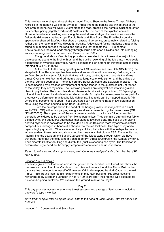This involves traversing up through the Arnaboll Thrust Sheet to the Moine Thrust. All these rocks lie in the hanging-wall to the Arnaboll Thrust. From the parking site (hinge area of the Ant-Sron anticline) we will walk E 200m along the road, crossing the Kempie syncline to enter its steeply-dipping (slightly overturned) eastern limb. The core of the syncline contains Durness limestone so walking east along the road, down stratigraphic section we cross the Salteralla Grit (very small outcrop), Fucoid Beds and Pipe Rock. The Pipe Rock contains spectacular sheared *Skolithos* that show an eastward vergence, presumably related to folding rather than the regional (WNW-directed) thrusting. A downward-facing imbricate thrust an be found by mapping between the road and shore line that repeats the PR-FB contact. The route above the road leads steeply through scrub onto open hillsides and into a hanging valley, classic ground for Lapworth and Peach in the 1880s.

The ground above Kempie bay provides an excellent place to examine major folds developed adjacent to the Moine thrust and the ductile reworking of the folds into metre-scale alternations of mylonitic rock types. We will examine this on a transect traversed across strike (starting at GR NC444576).

At the mouth to the hanging valley (about 130m above sea level: GR NC447576) the steep belt of the Kempie syncline terminates at an anticline with moderately E-dipping axial surface. So begins a small fold train that we will cross, continuity east, towards the Moine thrust. Over the next few hundred metres these large-scale folds tighten and the attitude of the axial surface decreases. The units here are Basal Quartzite and Lewisian gneisses. This is accompanied by increased development of shape fabrics in the quartzites until, at the top of the valley, they are mylonitic. The Lewisian gneisses are recrystallised into fine-grained chloritic phyllonites. The quartzites show intense l-s fabrics with a prominent, ESE-plunging mineral lineation and locally developed shear bands. So mylonite development forms part of a progressive deformation manifest by fold tightening. The folds can be mapped laterally (N) where they become more open. These structures can be demonstrated in low deformation state using the cross-bedding in the Basal Quartzite.

From the outcrops above the head of the hanging valley, next objective is a small knoll (219m OD) with outcrops lying along a small escarpment facing the plateau area (GR NC44875726). The upper part of the escarpment consists of distinctive folded mylonites generally considered to be derived from Moine psammites. They contain a strong linear fabric defined by strung out quartz aggregates that plunges towards ESE. The base of the Moinederived mylonites is considered to be the Moine Thrust. Below lie more mylonites of distinct compositions, arranged in bands of a about a few metres thickness. One type of mylonitic layer is highly quartzitic. Others are essentially chloitic phylonites with thin feldspathic seams. Where evident, these units also show stretching lineations that plunge ESE. These units map laterally into the Lewisian and Basal Quartzite of the folded zone through which we have traversed. Note that the folds (and mylonites) deform thrust structures in the Kempie syncline. Thus discrete ("brittle") faulting and distributed (ductile) shearing can cycle. The transition in deformation style need not be simply temperature-controlled and uni-directional.

*Return to vehicles and drive up to a viewpoint above the small peninsula of Ard Neckie. (GR NC453599).*

### Location 1.5 Ard Neckie

The layby gives excellent views across the ground at the head of Loch Eriboll that shows the progressive disruption of the Cambrian quartzites as it enters the Moine Thrust Belt. In the distance lies the mountain massif of Foinaven. Originally mapped by H.M. Cadell in the mid 1880s – this ground inspired his "experiments in mountain building". His cross-sections, reinterpreted by Elliott and Johnson in nearly 100 years later, inspired the type example for hinterland-dipping duplexes. We examine this ground in detail on Day 2.

### **Day 2**

This day provides access to extensive thrust systems and a range of fault rocks – including Lapworth's type mylonites.

*Drive from Tongue west along the A838, bath to the head of Loch Eriboll. Park up near Polla 386546).* 

Location 2.1 Conamheall and Srath Beag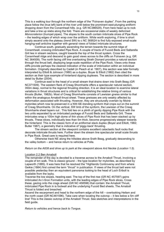This is a walking tour through the northern edge of the "Foinaven duplex". From the parking place follow the (true left) bank of the river until below the prominent east-plunging antiform dropping down from the Conamheall hills. (e.g. GR NC386529). From here head up to rock and take a line up slabs along the fold. There are occasional slabs of weakly deformed *Monocraterion* (trumpet pipes). The slopes to the south contain imbricate slices of Pipe Rock – the leading edges of which wrap over the antiform. While worth exploring, if time is short simply ascend onto the plateau (trend SW) to c NC 369524 to find fully exposed small-scale hanging-wall anticline together with general views of folded imbricate structures.

Continue south, gradually ascending the terrain towards the summit ridge of Conamheall, crossing imbricated Pipe Rock. A couple of tracts of Fucoid Beds and Saltarella Grit lies in stream sections, caught towards the top of the thrust system. Cross the Conamheall ridge and descend to gain good views across to the cliffs on Foinaven (e.g. GR NC 364509). The north facing cliff line overlooking Strath Dionard provides a natural section through the thrust belt, displaying large-scale repetition of the Pipe Rock. Views onto these cliffs provide perhaps the clearest indication of the scale of imbrication within an individual formation. Originally described by Cadell (in Peach *et al.* 1907), this section was later formally interpreted by Elliott & Johnson (1980) as a duplex. Boyer & Elliott (1982) then cited the section as their type example of hinterland dipping duplexes. The section is described in more detail by Butler (2004).

Continue east to the head of a small stream that drains down into Srath Beag (GR NC371509). The western flank of Creag Shomhairle offers a spectacular natural section, 350m deep, normal to the regional thrusting direction. It is an ideal location to examine lateral variations in thrust structures and is critical for establishing the relative timing of various thrusts (Butler, 1982b). Most of Creag Shomhairle consists of Lewisian gneiss similar to that within the analogous Arnaboll thrust sheet. These gneisses are only weakly affected by deformation associated with thrusting. However, they are structurally overlain by Moine mylonites which now lie preserved in a NW-SE-trending synform that crops out on the summit of Creag Shomhairle. On the vertical, SW limb of the synform, the Lewisian of the Creag Shomhairle sheet tapers out . This fold lies on a plinth of gently dipping Pipe Rock with the two units separated by an imbricated package of Fucoid Beds and Salterella Grit. These imbricates wrap a 100m high dome of thin slices of Pipe Rock that has been stacked up by thrusts. These slices, individually less than 5m thick, become progressively steeper towards the hinterland. This is the classic form of an antiformal stack duplex (Boyer and Elliott, 1982; Butler 1987), a geometry that is indicative of 'piggy-back' thrusting.

The stream section at the viewpoint contains excellent cataclastic fault rocks that decorate imbricate thrusts here. Further down the stream line spectacular small scale thrusts in Pipe Rock. Great care is required here.

Otherwise track NE along the hillsides above Srath Beag, gradually descending to the valley bottom – and hence return to vehicles at Polla.

### *Return on the A838 and drive up to park at the viewpoint above Ard Neckie (Location 1.5).*

### Location 2.2 Ben Arnaboll

The remainder of the day is devoted to a traverse across to the Arnaboll Thrust, involving a couple of km walk. This is classic ground – the type location for mylonites, as described by Lapworth (1885). It was here that he resolved the "Highlands Controversy and from where Geikie (1884) first coined the term "thrust" in publication. If views of the thrust belt were not possible yesterday then an equivalent panorama looking to the head of Loch Eriboll is available from the layby.

Traverse the low slopes, heading east. The top of the first rise (GR NC 457597) gains imbricated An t-Sron Formation units, with the leading edges of Pipe Rock slices. Cross these, gazing onto the crags ahead (GR NC 458596) that contain: the Arnaboll Thrust, imbricated Pipe Rock in is footwall and the underlying Fucoid Bed sheets. The Arnaboll Thrust is folded and breached.

Ascend the escarpment and head to the northern edge of the hill – overlooking Heilam and the north coast (GR NC461596). Take care when locating the outcrop – it lies below a 5m cliff line! This is the classic outcrop of the Arnaboll Thrust. See sketches and interpretations in the field guide.

*Return to vehicles and hence back to Tongue.*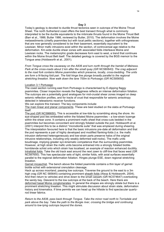Today's geology is devoted to ductile thrust tectonics seen in outcrops of the Moine Thrust Sheet. The north Sutherland coast offers the best transect through what is commonly interpreted to be the ductile equivalents to the imbricate thrusts found in the Moine Thrust Belt (Barr et al., 1986; Butler 1986, reviewed by Butler, 2010). The deformation involves the Moine metasediments (chiefly psammites but with local pelitic sections), together with orthogneisses that are now generally considered to be their basement, essentially equivalent to the Lewisian. Minor mafic intrusions exist within the section, of controversial age relative to the deformation. Km-wide ductile shear zones with associated folds interleave Moine and Lewisian rocks. The metamorphic grade decreases form east to west, a trend that continues within the Moine thrust Belt itself. The detailed geology is covered by the BGS memoir to the Tongue area (Holdsworth et al., 2001).

*From Tongue cross the causeway on the A836 and turn north through the hamlet of Melness. Park at the cross-roads about 2 km after the small quay (GR NC580643). The crag adjacent to the road fork contains Moine psammites which preserve, locally, cross-bedding. The units*  are form a N-facing fold pair. The fold hinge line plunge broadly parallel to the regional *stretching lineation. Now walk down the lane 700m to Portvasgo (GR NC585650).*

### Location 3.1 Portvasgo

The coast section running east from Portvasgo is characterised by E-dipping flaggy psammites. Closer inspection reveals the flagginess reflects an intense deformation foliation. The outcrops are a potentially good analogues for mid-crustal shear zones imaged on deep seismic reflection profiles, and for tracts of crust that responsible for seismic anisotropy detected in teleseismic receiver functions.

We can explore this transect. The key components include:

The main linear and planar components. These are best studied on the slabs at Portvasgo itself.

The pod (GR NC586650). This is accessible at low-tide by scrambling along the shore. An eye-shaped pod lies embedded within the foliated Moine psammites – a low-strain lozenge within the shear zone. It contains a prominent mafic sheet that cross-cuts bedded in the psammites but becomes concordant and strongly foliated outside the pod. Holdsworth et al. (2001) interpret this to be a distinct "microdiorite suite" that was emplaced during shearing. The interpretation favoured here is that the basic intrusions pre-date all deformation and that the pod represents a pair of highly developed and modified flanking-folds (i.e. the mafic intrusion deformed heterogeneously and low-strain parts preserve halos of the original intrusive relationships, including only weakly deformed wall-rocks). The mafic units boudinage, implying greater syn-kinematic competence than the surrounding psammites. However, at high strain the mafic units become entrained into a strongly foliated biotitehornblende schist onto which strain has localised, an example of reaction enhanced ductility. Intrafolial folds. Take the old track east around the next zawn to cliff-line that faces west (GR NC587650). This has spectacular sets of tight, similar folds, with axial surfaces essentially parallel to the regional deformation foliation. Hinges plunge ESE, down regional stretching lineation.

Garnet micaschist. The bench above the folded psammite contains a thin layer of garnet biotite schist with extensional crenulation cleavage.

Hack up across moorland, passing low outcrops. Traverse the ground to the east to a 3m high crag (GR NC 585645) containing prominent sheath folds (Alsop & Holdsworth, 2004). And then return to vehicles and drive down to the small carpark (GR NC574647) overlooking the sandy bay. Descend to the low outcrops at the back of the beach. Here there are deformed basal Moine conglomerates. In general the shapes are strongly oblate but there is a prominent stretching lineation. This might stimulate discussion about strain state, deformation history and kinematics. If time permits we can head up the hillside to find spectacular quartzrod linear fabrics.

*Return to the A838, pass back through Tongue. Take the minor road north to Torrisdale and park above the bay. Take the path to the Borgie river, crossing the bridge and continuing around to low-lying outcrops beyond the dunes.*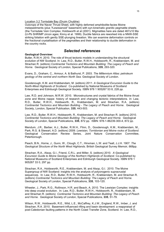### Location 3.2 Torrisdale Bay (Druim Chuibhe)

Outcrops of the Naver Thrust Sheet, with highly defomed amphibolite-facies Moine metasediments (plus ?Lewisianoid" basement) with syn-kinematic granitic pegmatite sheets (the Torrisdale Vein Complex; Holdsworth et al (2001). Migmatites here are dated 467±10 Ma (U-Pb SHRIMP zircon ages; Kinny et al. 1999). Ductile fabrics are reworked into a NNW-SSE striking foliation with gently SSE-plunging lineation. We can examine deformation controls on the fractional crystallisation of the pegmatites and their relationship to ductile deformation in the country rocks.

# *Selected references*

### **Geological Overview:**

Butler, R.W.H. 2010. The role of thrust tectonic models in understanding the structural evolution of NW Scotland. In: Law, R.D., Butler, R.W.H., Holdsworth, R., Krabbendam, M. and Strachan R. (editors) *Continental Tectonics and Mountain Building: The Legacy of Peach and Horne.* Geological Society of London, Special Publications, **335**, 293-320.

Evans, D., Graham, C., Armour, A. & Bathurst, P. 2003. *The Millennium Atlas: petroleum geology of the central and northern North Sea.* Geological Society of London.

Goodenough, K.M. and Krabbendam, M. (editors) 2011. *A Geological Excursion Guide to the North-West Highlands of Scotland*. Co-published by National Museums of Scotland Enterprises and Edinburgh Geological Society. ISBN 978 1 905267 53 8, 228 pp.

Law, R.D. and Johnson, M.R.W. 2010. Microstructures and crystal fabrics of the Moine thrust zone and Moine nappe: history of research and changing tectonic interpretations. *In:* Law, R.D., Butler, R.W.H., Holdsworth, R., Krabbendam, M. and Strachan, R.A. (editors) *Continental Tectonics and Mountain Building - The Legacy of Peach and Horne*. Geological Society, London, Special Publication, **335**, 443-503.

Law, R.D., Butler, R.W.H., Holdsworth, R., Krabbendam, M. and Strachan R. (editors) 2010. *Continental Tectonics and Mountain Building: The Legacy of Peach and Horne.* Geological Society of London, Special Publications, **335**, 872 pp. ISBN: 978-1-86239-300-4, 872 pp.

Mendum, J.R., Barber, A.J., Butler, R.W.H., Flinn, D., Goodenough, K.M., Krabbendam, M., Park, R.G. & Stewart, A.D. (editors) 2009. *Lewisian, Torridonian and Moine rocks of Scotland*. Geological Conservation Review Series, Joint Nature Conservation Committee, Peterborough.

Peach, B.N., Horne, J., Gunn, W., Clough, C.T., Hinxman, L.W. and Teall, J.J.H. 1907. *The Geological Structure of the North West Highlands.* British Geological Survey Memoir, 668pp.

Strachan, R.A., Alsop, G.I., Friend, C.R.L. and Miller, S. (editors) 2010. *A Geological Excursion Guide to Moine Geology of the Northern Highlands of Scotland.* Co-published by National Museums of Scotland Enterprises and Edinburgh Geological Society. ISBN 978 1 905267 33 0, 297 pp.

Strachan, R.A., Holdsworth, R.E., Krabbendam, M. and Alsop, G.I. 2010. The Moine Supergroup of NW Scotland: insights into the analysis of polyorogenic supracrustal sequences. In: Law, R.D., Butler, R.W.H., Holdsworth, R., Krabbendam, M. and Strachan R. (editors) *Continental Tectonics and Mountain Building: The Legacy of Peach and Horne.* Geological Society of London, Special Publications, **335**, 103-120.

Wheeler, J., Park, R.G., Rollinson, H.R. and Beach, A. 2010. The Lewisian Complex: insights into deep crustal evolution. In: Law, R.D., Butler, R.W.H., Holdsworth, R., Krabbendam, M. and Strachan R. (editors) *Continental Tectonics and Mountain Building: The Legacy of Peach and Horne.* Geological Society of London, Special Publications, **335**, 51-79.

Wilson, R.W., Holdsworth, R.E., Wild, L.E., McCaffrey, K.J.W., England, R.W., Imber, J. and Strachan, R.A. 2010. Basement-influenced rifting and basin development: a reappraisal of post-Caledonian faulting patterns in the North Coast Transfer Zone, Scotland. In: Law, R.D.,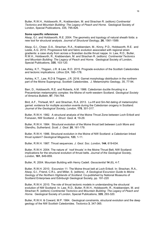Butler, R.W.H., Holdsworth, R., Krabbendam, M. and Strachan R. (editors) *Continental Tectonics and Mountain Building: The Legacy of Peach and Horne.* Geological Society of London, Special Publications, 335, 795-826.

### **Some specific references**

Alsop, G.I. and Holdsworth, R.E. 2004. The geometry and topology of natural sheath folds: a new tool for structural analysis. *Journal of Structural Geology*, **26**, 1561-1589.

Alsop, G.I., Cheer, D.A., Strachan, R.A., Krabbendam, M., Kinny, P.D., Holdsworth, R.E. and Leslie, A.G. 2010. Progressive fold and fabric evolution associated with regional strain gradients: a case study from across a Scandian ductile thrust nappe. In: Law, R.D., Butler, R.W.H., Holdsworth, R., Krabbendam, M. and Strachan R. (editors) *Continental Tectonics and Mountain Building: The Legacy of Peach and Horne.* Geological Society of London, Special Publications, **335**, 103-120.

Ashley, K.T., Thigpen, J.R. & Law, R.D. 2015. Prograde evolution of the Scottish Caledonides and tectonic implications. *Lithos* 224, 160–178.

Ashley, K.T., Law, R.D & Thigpen, J.R. 2016. Garnet morphology distribution in the northern part of the Moine Supergroup, Scottish Caledonides. J. Metamorphic Geology, 35, 77-94.

Barr, D., Holdsworth, R.E. and Roberts, A.M. 1986. Caledonian ductile thrusting in a Precambrian metamorphic complex: the Moine of north-western Scotland. *Geological Society of America Bulletin*, **97**, 754-764.

Bird, A.F., Thirlwall, M.F. and Strachan, R.A. 2013. Lu-Hf and Sm-Nd dating of metamorphic garnet: evidence for multiple accretion events during the Caledonian orogeny in Scotland. *Journal of the Geological Society, London*, **170**, 301-317.

Butler, R.W.H. 1982. A structural analysis of the Moine Thrust Zone between Loch Eriboll and Foinaven, NW Scotland. *J. Struct. Geol.* **4**, 19-29.

Butler, R.W.H. 1984. Structural evolution of the Moine thrust belt between Loch More and Glendhu, Sutherland. *Scott. J. Geol.* **20**, 161-179.

Butler, R.W.H. 1986. Structural evolution in the Moine of NW Scotland: a Caledonian linked thrust system? *Geological Magazine*, **123**, 1-11.

Butler, R.W.H. 1987. Thrust sequences. *J. Geol. Soc. London,* **144**, 619-634.

Butler, R.W.H. 2004. The nature of 'roof thrusts' in the Moine Thrust Belt, NW Scotland: implications for the structural evolution of thrust belts. *Journal of the Geological Society, London,* **161**, 849-859.

Butler, R. 2004. Mountain Building with Henry Cadell. *Geoscientist* **14** (6), 4-7.

Butler, R.W.H. 2010. Excursion 11: The Moine thrust belt at Loch Eriboll. In: Strachan, R.A., Alsop, G.I., Friend, C.R.L. and Miller, S. (editors). *A Geological Excursion Guide to Moine Geology of the Northern Highlands of Scotland.* Co-published by National Museums of Scotland Enterprises and Edinburgh Geological Society, pp. 191-220

Butler, R.W.H. 2010. The role of thrust tectonic models in understanding the structural evolution of NW Scotland. In: Law, R.D., Butler, R.W.H., Holdsworth, R., Krabbendam, M. and Strachan R. (editors) *Continental Tectonics and Mountain Building: The Legacy of Peach and Horne.* Geological Society of London, Special Publications, **335**, 293-320.

Butler, R.W.H. & Coward, M.P. 1984. Geological constraints, structural evolution and the deep geology of the NW Scottish Caledonides. *Tectonics* **3**, 347-365.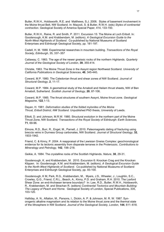Butler, R.W.H., Holdsworth, R.E. and Matthews, S.J. 2006. Styles of basement involvement in the Moine thrust Belt, NW Scotland. In: Mazzoli, S. & Butler, R.W.H. (eds) *Styles of continental contraction*. Geological Society of America Special Paper, 414, 133-150.

Butler, R.W.H., Raine, R. and Smith, P. 2011. Excursion 15: The Moine at Loch Eriboll. In: Goodenough, K.M. and Krabbendam, M. (editors). *A Geological Excursion Guide to the North-West Highlands of Scotland*. Co-published by National Museums of Scotland Enterprises and Edinburgh Geological Society, pp. 181-197.

Cadell, H. M. 1888. Experimental researches in mountain building. *Transactions of the Royal Society, Edinburgh*, 35, 337–357

Callaway, C. 1983. The age of the newer gneissic rocks of the northern Highlands*. Quarterly Journal of the Geological Society of London*, **39**, 355-414.

Christie, 1963. The Moine Thrust Zone in the Assynt region Northwest Scotland. *University of California Publications in Geological Sciences*, **40**, 345-440**.**

Coward, M.P. 1980. The Caledonian thrust and shear zones of NW Scotland. *Journal of Structural Geology*, **2**, 11-17.

Coward, M.P. 1984. A geometrical study of the Arnaboll and Heilam thrust sheets, NW of Ben Arnaboll, Sutherland*. Scottish Journal of Geology*, **20**, 87-106.

Coward, M.P. 1985. The thrust structures of southern Assynt, Moine thrust zone. *Geological Magazine*, **122**,1-13.

Dayan, H. 1981. *Deformation studies of the folded mylonites of the Moine Thrust, Eriboll District, NW Scotland.* Unpublished PhD thesis, University of Leeds.

Elliott, D. and Johnson, M.R.W. 1980. Structural evolution in the northern part of the Moine Thrust Zone, NW Scotland. *Transactions of the Royal Society of Edinburgh: Earth Sciences,* **71**, 69-96.

Elmore, R.D., Burr, R., Engel, M., Parnell, J. 2010. Paleomagnetic dating of fracturing using breccia veins in Durness Group carbonates, NW Scotland. *Journal of Structural Geology*, **32**, 1933-1942.

Friend, C. & Kinny, P. 2004. A reappraisal of the Lewisian Gneiss Complex: geochronological evidence for its tectonic assembly from disparate terranes in the Proterozoic. *Contributions to Mineralogy and Petrology*, **142**, 198–218.

Geikie, A. 1884. The crystalline rocks of the Scottish Highlands. *Nature*, **30**, 29-31.

Goodenough, K. and Krabbendam, M. 2010. Excursion 6: Knockan Crag and the Knockan Klippen. In: Goodenough, K.M. and Krabbendam, M. (editors). *A Geological Excursion Guide to the North-West Highlands of Scotland*. Co-published by National Museums of Scotland Enterprises and Edinburgh Geological Society, pp. 93-100.

Goodenough, K M, Park, R.G., Krabbendam, M., Myers, J.S., Wheeler, J., Loughlin, S.C., Crowley, Q.G., Friend, C.R.L., Beach, A., Kinny, P.D. and Graham, R.H. 2010. The Laxford Shear Zone: an end-Archaean terrane boundary? In: Law, R.D., Butler, R.W.H., Holdsworth, R., Krabbendam, M. and Strachan R. (editors) *Continental Tectonics and Mountain Building: The Legacy of Peach and Horne.* Geological Society of London, Special Publications, 335, 103-120.

Halliday, A. N., Aftalion, M., Parsons, I., Dickin, A. P. & Johnson, M. R. W. 1987. Synorogenic alkaline magmatism and its relation to the Moine thrust zone and the thermal state of the lithosphere in NW Scotland. *Journal of the Geological Society, London*, **144**, 611–618.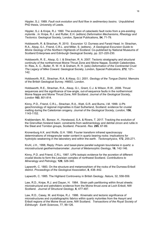Hippler, S.J. 1989. *Fault rock evolution and fluid flow in sedimentary basins.* Unpublished PhD thesis, University of Leeds.

Hippler, S.J. & Knipe, R.J. 1990. The evolution of cataclastic fault rocks from a pre-existing mylonite . *In:* Knipe, R.J. and Rutter, E.H. (editors) *Deformation Mechanisms, Rheology and Tectonics.* Geological Society, London, Special Publications, **54**, 71-79.

Holdsworth, R. & Strachan, R. 2010. Excursion 12: Durness and Faraid Head. In: Strachan, R.A., Alsop, G.I., Friend, C.R.L. and Miller, S. (editors). *A Geological Excursion Guide to Moine Geology of the Northern Highlands of Scotland.* Co-published by National Museums of Scotland Enterprises and Edinburgh Geological Society, pp. 221-220-230.

Holdsworth, R. E., Alsop, G. I. & Strachan, R. A. 2007. Tectonic stratigraphy and structural continuity of the northernmost Moine Thrust Zone and Moine Nappe, Scottish Caledonides. In: Ries, A. C., Butler, R. W. H. & Graham, R. H. (eds) *Deformation of the Continental Crust: The Legacy of Mike Coward*. Geological Society, London, Special Publications, **272**, 121– 142.

Holdsworth, R.E., Strachan, R.A. & Alsop, G.I. 2001. *Geology of the Tongue District.* Memoirs of the British Geological Survey. HMSO, London.

Holdsworth, R.E., Strachan, R.A., Alsop, G.I., Grant, C.J. & Wilson, R.W., 2006. Thrust sequences and the significance of low-angle, out-of-sequence faults in the northernmost Moine Nappe and Moine Thrust Zone, NW Scotland. *Journal of the Geological Society, London* **163**, 801-814.

Kinny, P.D., Friend, C.R.L., Strachan, R.A., Watt, G.R. and Burns, I.M. 1999. U-Pb geochronology of regional migmatites in East Sutherland, Scotland: evidence for crustal melting during the Caledonian orogeny. *Journal of the Geological Society, London,* **156**, 1143-1152.

Krabbendam, M., Bonsor, H., Horstwood, S.A. & Rivers, T. 2017. Tracking the evolution of the Grenvillian foreland basin: constraints from sedimentology and detrital zircon and rutile in the Sleat and Torridon groups, Scotland. *Precamb. Res.* **295**, 67-89.

Kronenburg A.K. and Wolfe, G.H. 1990. Fourier transform infrared spectroscopy determinations of intragranular water content in quartz bearing rocks: implications for hydrolytic weakening in the laboratory and within the earth. *Tectonophysics*, **172**, 255-271.

Kruhl, J.H., 1998, Reply: Prism- and basal-plane parallel subgrain boundaries in quartz: a microstructural geothermobarometer. *Journal of Metamorphic Geology*, **16**, 142-146.

Kinny, P.D. and Friend, C.R.L. 1997. U/Pb isotopic evidence for the accretion of different crustal blocks to form the Lewisian complex of northwest Scotland. *Contributions to Mineralogy and Petrology*, **129**, 326-340.

Lapworth, C. 1883. On the structure and metamorphism of the rocks of the Durness-Eriboll district. *Proceedings of the Geological Association*, **8**, 438–442.

Lapworth, C. 1985. The Highland Controversy in British Geology. *Nature*, 32, 558-559.

Law, R.D., Knipe, R.J. and Dayan, H. 1984. Strain path partitioning within thrust sheets: microstructural and petrofabric evidence from the Moine thrust zone at Loch Eriboll, NW Scotland. *Journal of Structural Geology*, **6**, 477-497.

Law, R.D., Casey, M. and Knipe, R.J. 1986. Kinematic and tectonic significance of microstructures and crystallographic fabrics within quartz mylonites from the Assynt and Eriboll regions of the Moine thrust zone, NW Scotland. *Transactions of the Royal Society of Edinburgh: Earth Sciences*, 77, 99-126.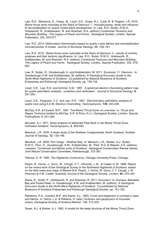Law, R.D., Mainprice, D., Casey, M., Lloyd, G.E., Knipe, R.J., Cook, B. & Thigpen, J.R. 2010. Moine thrust zone mylonites at the Stack of Glencoul: I - microstructures, strain and influence of recrystallization on quartz crystal fabric development. *In:* Law, R.D., Butler, R.W.H., Holdsworth, R., Krabbendam, M. and Strachan, R.A. (editors) *Continental Tectonics and Mountain Building - The Legacy of Peach and Horne*. Geological Society, London, Special Publication, 335, 543-577.

Law, R.D. 2014. Deformation thermometry based on quartz *c*-axis fabrics and recrystallization microstructures: A review. *Journal of Structural Geology*, 66, 129–161

Law, R.D. 2010. Moine thrust zone mylonites at the Stack of Glencoul: II - results of vorticity analyses and their tectonic significance. *In:* Law, R.D., Butler, R.W.H., Holdsworth, R., Krabbendam, M. and Strachan, R.A. (editors) *Continental Tectonics and Mountain Building - The Legacy of Peach and Horne*. Geological Society, London, Special Publication, 335, 579- 602.

Law, R., Butler, R., Goodenough, K. and Krabbendam, M. 2011. Excursion 11: Glencoul. In: Goodenough, K.M. and Krabbendam, M. (editors). *A Geological Excursion Guide to the North-West Highlands of Scotland*. Co-published by National Museums of Scotland Enterprises and Edinburgh Geological Society, pp. 136-144.

Lloyd, G.E., Law, R.D. and Schmid, S.M. 1987. A spherical electron channeling pattern map for quartz petrofabric analysis: correction and verification. *Journal of Structural Geology*, **9**, 251-254.

Lloyd, G.E., Ferguson, C.C. and Law, R.D. 1987. Discriminatory petrofabric analysis of quartz rock using S.E.M. Electron Channeling. *Tectonophysics*, **135**, 243-249.

McClay, K.R. & Coward, M.P., 1981. The Moine Thrust Zone: an overview. In: *Thrust and Nappe Tectonics* (edited by McClay, K.R. & Price, N.J.), Geological Society, London, Special Publications, 9, 241-260.

McLeish, A.J. 1971. Strain analysis of deformed Pipe Rock in the Moine Thrust Zone, northwest Scotland. *Tectonophysics*, **2**, 469-503.

Mendum, J.R. 1976. A strain study of the Strathan Conglomerate, North Scotland. Scottish Journal of Geology, **12**, 135-146.

Mendum, J.R. 2009. Port Vasgo - Strathan Bay. *In*: Mendum, J.R., Barber, A.J., Butler, R.W.H., Flinn, D., Goodenough, K.M., Krabbendam, M., Park, R.G. & Stewart, A.D. (editors) *Lewisian, Torridonian and Moine rocks of Scotland*. Geological Conservation Review Series, Joint Nature Conservation Committee, Peterborough, 372-381.

Oldroyd, D. R. 1990. *The Highlands Controversy*. Chicago University Press, Chicago.

Peach, B., Horne, J., Gunn, W., Clough, C.T., Hinxman, L.W.. & Cadell, H. M. 1888. Report on the recent work of the Geological Survey in the Northwest Highlands of Scotland, based on the field notes and maps of Messrs B.N. Peach, J. Horne, W. Gunn, C.T. Clough, L.W. Hinxman & H.M. Cadell. *Quarterly Journal of the Geological Society, London*, **44**, 378–441.

Raine, R., Smith, P., Holdsworth, R. and Strachan, R. 2011. Excursion 14: Durness, Balnakeil Bay and Faraid Head. In: Goodenough, K.M. and Krabbendam, M. (editors). *A Geological Excursion Guide to the North-West Highlands of Scotland*. Co-published by National Museums of Scotland Enterprises and Edinburgh Geological Society, pp. 161-180.

Rathbone, P.A., Coward, M.P. and Harris, A.L. 1983. Cover and basement: a contrast in style and fabrics. In: Harris, L.D. & Williams, H. (eds) *Tectonics and geophysics of mountain chains*. Geological Society of America Memoir, 158, 213-223.

Soper, N.J. & Barber, A.J. 1982. A model for the deep structure of the Moine Thrust Zone.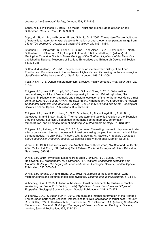*Journal of the Geological Society, London*, **139**, 127–138.

Soper, N.J. & Wilkinson, P. 1975. The Moine Thrust and Moine Nappe at Loch Eriboll, Sutherland. *Scott. J. Geol.*, **11**, 339–359.

Stipp, M., Stunitz, H., Heilbronner, R. and Schmid, S.M. 2002. The eastern Tonale fault zone; a "natural laboratory" for crystal plastic deformation of quartz over a temperature range from 250 to 700 degrees C. *Journal of Structural Geology*, **24**, 1861-1884.

Strachan, R., Holdsworth, R., Friend, C., Burns, I. and Alsop, I. 2010. Excursion 13: North Sutherland. In: Strachan, R.A., Alsop, G.I., Friend, C.R.L. and Miller, S. (editors). *A Geological Excursion Guide to Moine Geology of the Northern Highlands of Scotland.* Copublished by National Museums of Scotland Enterprises and Edinburgh Geological Society, pp. 231-265.

Sutton, J. & Watson, J.V. 1951. The pre-Torridonian metamorphic history of the Loch Torridon and Scourie areas in the north-west Highlands, and its bearing on the chronological classification of the Lewisian. *Q. J. Geol. Soc., London*, **106**, 241–308.

Teall, J.J.H. 1918. Dynamic metamorphism: a review, mainly personal. *Proc. Geol. Ass.*, **29**,  $1 - 15$ .

Thigpen, J.R., Law, R.D., Lloyd, G.E., Brown, S.J. and Cook, B. 2010. Deformation temperatures, vorticity of flow and strain symmetry in the Loch Eriboll mylonites, NW Scotland: Implications for kinematic and structural evolution of the northernmost Moine thrust zone. *In:* Law, R.D., Butler, R.W.H., Holdsworth, R., Krabbendam, M. & Strachan, R. (editors) *Continental Tectonics and Mountain Building - The Legacy of Peach and Horne*. Geological Society, London, Special Publications, 335, 623-662.

Thigpen, J.R., Law, R.D., Lohen, C., G.E., Strachan, R., Tracy, Lloyd, R.J., Roth, B.L., Gatewood, S. and Brown, S. 2013. Thermal structure and tectonic evolution of the Scandian orogenic wedge, Scottish Caledonides: Integrating geothermometry, deformation temperatures, and kinematic-thermal modeling. *J. Metamorphic Geology*, 31, 813–842.

Thigpen, J.R., Ashley, K.T., Law, R.D. 2017, in press. Evaluating kinematic displacement rate effects on transient thermal processes in thrust belts using coupled thermomechanical finiteelement models. In: Law, R.D., Thigpen, J.R., Merschat, A., Stowell, H. (editors), *Linkages and Feedbacks in Orogenic Process*. Geological Society of America Memoir, No 213.

White, S.H. 1998. Fault rocks from Ben Arnaboll, Moine thrust Zone, NW Scotland. *In:* Snoke, A.W., Tullis, J. & Todd, V.R. (editors) *Fault Related Rocks: A Photographic Atlas*. Princeton, New Jersey, 382-391.

White, S.H. 2010. Mylonites: Lessons from Eriboll. *In:* Law, R.D., Butler, R.W.H., Holdsworth, R., Krabbendam, M. & Strachan, R.A. (editors) *Continental Tectonics and Mountain Building - The Legacy of Peach and Horne*. Geological Society, London, Special Publication, 335, 505-542.

White, S.H., Evans, D.J. and Zhong, D.L. 1982. Fault rocks of the Moine Thrust Zone: microstructures and textures of selected mylonites. *Textures and Microstructures*, 5, 33-61.

Wibberley, C. A. J. 2005. Initiation of basement thrust detachments by fault-zone reaction weakening. In: Bruhn, D. & Burlini, L. (eds) *High-Strain Zones: Structures and Physical Properties*. Geological Society, London, Special Publications, 245, 347–372.

Wibberley, C.A.J. & Butler, R.W.H. 2010. Structure and internal deformation of the Arnaboll Thrust Sheet, north-west Scotland: implications for strain localization in thrust belts. *In:* Law, R.D., Butler, R.W.H., Holdsworth, R., Krabbendam, M. & Strachan, R.A. (editors) *Continental Tectonics and Mountain Building - The Legacy of Peach and Horne*. Geological Society, London, Special Publication, 335, 321-333.